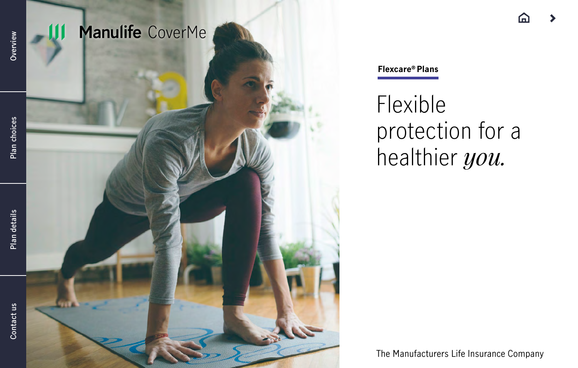

<span id="page-0-0"></span>Overview

Plan details

Manulife CoverMe

**Flexcare® Plans**

Flexible protection for a healthier *you.*

The Manufacturers Life Insurance Company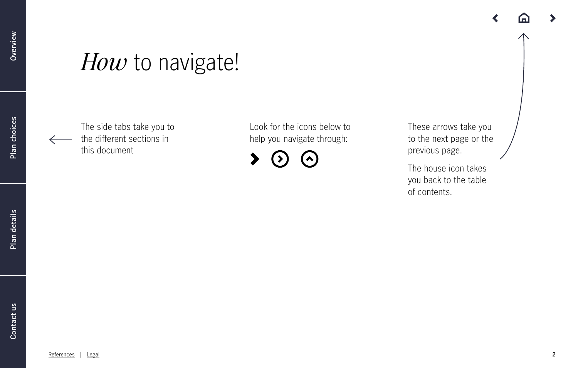## *How* to navigate!

The side tabs take you to the different sections in this document

Look for the icons below to help you navigate through:

These arrows take you to the next page or the previous page.

The house icon takes you back to the table of contents.

**[Plan choices](#page-8-0)**

Plan choices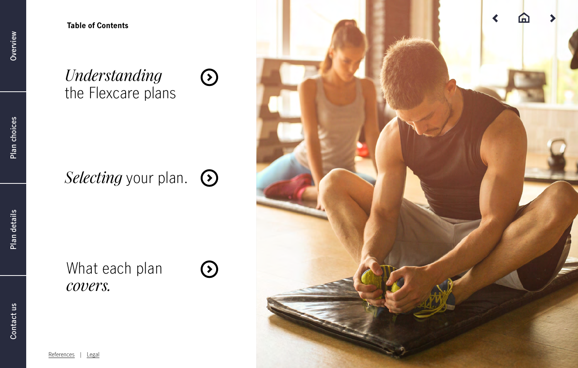**Table of Contents**

## *Understanding* [the Flexcare plans](#page-4-0)

## *Selecting* [your plan.](#page-7-0)  $\odot$

## [What each plan](#page-8-0)  *covers.*

 $\left(\overline{\mathbf{c}}\right)$ 

 $\odot$ 



[References](#page-15-0) | [Legal](#page-16-0)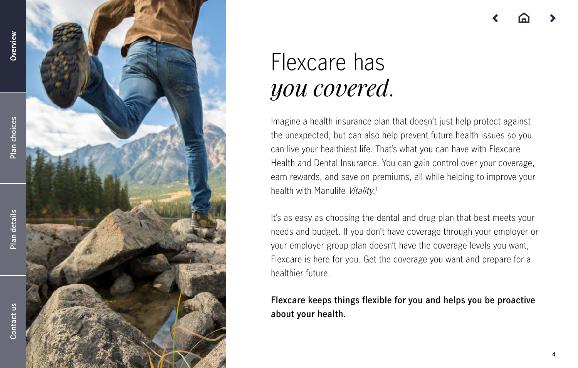[References](#page-15-0)

| [Legal](#page-16-0)

## <span id="page-3-0"></span>Flexcare has *you covered* .

Imagine a health insurance plan that doesn't just help protect against the unexpected, but can also help prevent future health issues so you can live your healthiest life. That's what you can have with Flexcare Health and Dental Insurance. You can gain control over your coverage, earn rewards, and save on premiums, all while helping to improve your health with Manulife *Vitality*.<sup>1</sup>

It's as easy as choosing the dental and drug plan that best meets your needs and budget. If you don't have coverage through your employer or your employer group plan doesn't have the coverage levels you want, Flexcare is here for you. Get the coverage you want and prepare for a healthier future.

**Flexcare keeps things flexible for you and helps you be proactive about your health.**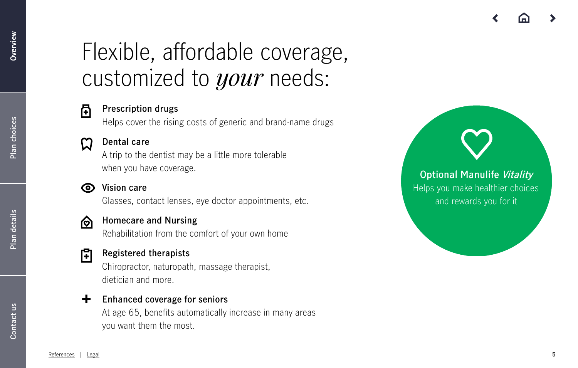# <span id="page-4-0"></span>Flexible, affordable coverage, customized to *your* needs:



Helps cover the rising costs of generic and brand-name drugs

### **Dental care**

A trip to the dentist may be a little more tolerable when you have coverage.

### **Vision care**

Glasses, contact lenses, eye doctor appointments, etc.



#### **Homecare and Nursing** ଚୋ

Rehabilitation from the comfort of your own home

#### **Registered therapists** け

Chiropractor, naturopath, massage therapist, dietician and more.

### **+ Enhanced coverage for seniors**

At age 65, benefits automatically increase in many areas you want them the most.

**Optional Manulife Vitality** Helps you make healthier choices and rewards you for it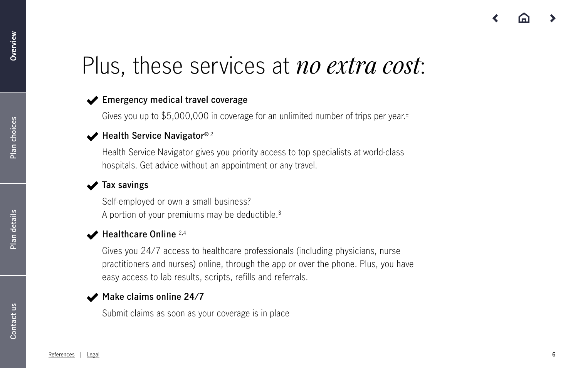## Plus, these services at *no extra cost*:

### **Emergency medical travel coverage**

Gives you up to \$5,000,000 in coverage for an unlimited number of trips per year. ±

### **Health Service Navigator®**  2

Health Service Navigator gives you priority access to top specialists at world-class hospitals. Get advice without an appointment or any travel.

### **Tax savings**

Self-employed or own a small business? A portion of your premiums may be deductible. 3

### ◆ Healthcare Online <sup>2,4</sup>

Gives you 24/7 access to healthcare professionals (including physicians, nurse practitioners and nurses) online, through the app or over the phone. Plus, you have easy access to lab results, scripts, refills and referrals.

### **Make claims online 24/7**

Submit claims as soon as your coverage is in place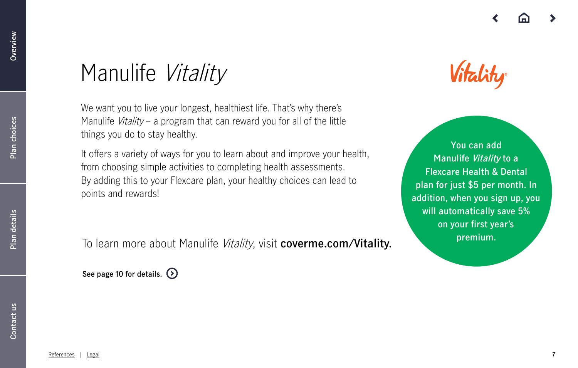[References](#page-15-0) | [Legal](#page-16-0) **7**

## Manulife Vitality

We want you to live your longest, healthiest life. That's why there's Manulife *Vitality* – a program that can reward you for all of the little things you do to stay healthy.

It offers a variety of ways for you to learn about and improve your health, from choosing simple activities to completing health assessments. By adding this to your Flexcare plan, your healthy choices can lead to points and rewards!

**premium.** To learn more about Manulife Vitality, visit **[coverme.com/Vitality.](https://www.coverme.com/Vitality)**

**See page 10 for details.** 

# Vitality

**You can add Manulife Vitality to a Flexcare Health & Dental plan for just \$5 per month. In addition, when you sign up, you will automatically save 5% on your first year's**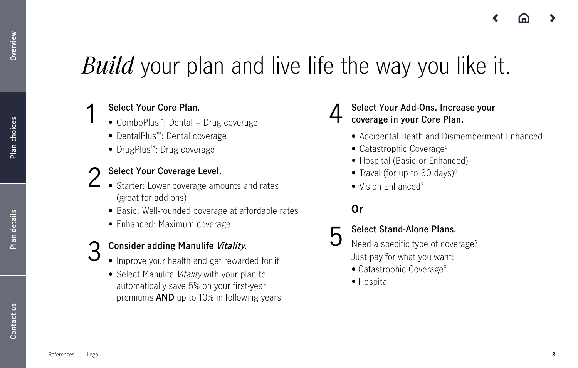# <span id="page-7-0"></span>*Build* your plan and live life the way you like it.

## **Select Your Core Plan.**

- **1** Select Your Core Plan.<br>
 ComboPlus™: Dental + Drug coverage <br>
 ComboPlus™: Dental + Drug coverage
	- DentalPlus™: Dental coverage
	- DrugPlus™: Drug coverage

## **Select Your Coverage Level.** 2

- Starter: Lower coverage amounts and rates (great for add-ons)
	- Basic: Well-rounded coverage at affordable rates
	- Enhanced: Maximum coverage
- **Consider adding Manulife Vitality.**
- S<br>
S Consider adding Manulife Vitality.<br>
S Improve your health and get rewarded for it
	- Select Manulife Vitality with your plan to automatically save 5% on your first-year premiums **AND** up to 10% in following years



- Accidental Death and Dismemberment Enhanced
- Catastrophic Coverage<sup>5</sup>
- Hospital (Basic or Enhanced)
- Travel (for up to 30 days) $6$
- Vision Enhanced<sup>7</sup>

## **Or**

## **Select Stand-Alone Plans.**

- Need a specific type of coverage? Just pay for what you want:
- Catastrophic Coverage<sup>8</sup>
- Hospital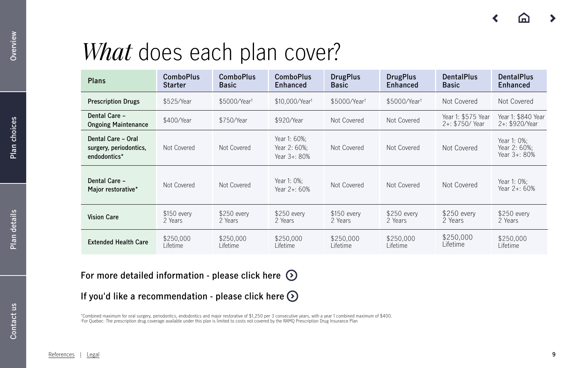# <span id="page-8-0"></span>*What* does each plan cover?

| <b>Plans</b>                                                 | <b>ComboPlus</b><br><b>Starter</b> | <b>ComboPlus</b><br><b>Basic</b> | <b>ComboPlus</b><br>Enhanced                 | <b>DrugPlus</b><br><b>Basic</b> | <b>DrugPlus</b><br><b>Enhanced</b> | <b>DentalPlus</b><br><b>Basic</b>       | <b>DentalPlus</b><br>Enhanced               |
|--------------------------------------------------------------|------------------------------------|----------------------------------|----------------------------------------------|---------------------------------|------------------------------------|-----------------------------------------|---------------------------------------------|
| <b>Prescription Drugs</b>                                    | \$525/Year                         | \$5000/Yeart                     | \$10,000/Year <sup>t</sup>                   | \$5000/Year <sup>t</sup>        | \$5000/Yeart                       | Not Covered                             | Not Covered                                 |
| Dental Care -<br><b>Ongoing Maintenance</b>                  | \$400/Year                         | \$750/Year                       | \$920/Year                                   | Not Covered                     | Not Covered                        | Year 1: \$575 Year<br>$2 +: $750/$ Year | Year 1: \$840 Year<br>2+: \$920/Year        |
| Dental Care - Oral<br>surgery, periodontics,<br>endodontics* | Not Covered                        | Not Covered                      | Year 1: 60%;<br>Year 2: 60%:<br>Year 3+: 80% | Not Covered                     | Not Covered                        | Not Covered                             | Year 1: 0%;<br>Year 2: 60%:<br>Year 3+: 80% |
| Dental Care -<br>Major restorative*                          | Not Covered                        | Not Covered                      | Year 1: 0%;<br>Year 2+: 60%                  | Not Covered                     | Not Covered                        | Not Covered                             | Year 1: 0%;<br>Year 2+: 60%                 |
| <b>Vision Care</b>                                           | $$150$ every<br>2 Years            | $$250$ every<br>2 Years          | \$250 every<br>2 Years                       | \$150 every<br>2 Years          | \$250 every<br>2 Years             | \$250 every<br>2 Years                  | \$250 every<br>2 Years                      |
| <b>Extended Health Care</b>                                  | \$250,000<br>Lifetime              | \$250,000<br>Lifetime            | \$250,000<br>Lifetime                        | \$250,000<br>Lifetime           | \$250,000<br>Lifetime              | \$250,000<br>Lifetime                   | \$250,000<br>Lifetime                       |

**For more detailed information - please click here** 

**If you'd like a recommendation - please click here**

\*Combined maximum for oral surgery, periodontics, endodontics and major restorative of \$1,250 per 3 consecutive years, with a year 1 combined maximum of \$400. † For Quebec: The prescription drug coverage available under this plan is limited to costs not covered by the RAMQ Prescription Drug Insurance Plan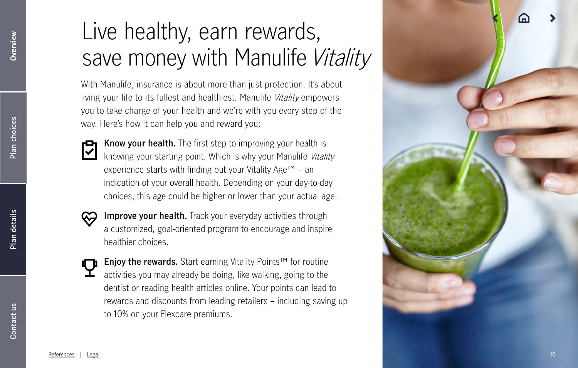# <span id="page-9-0"></span>Live healthy, earn rewards, save money with Manulife Vitality

With Manulife, insurance is about more than just protection. It's about living your life to its fullest and healthiest. Manulife *Vitality* empowers you to take charge of your health and we're with you every step of the way. Here's how it can help you and reward you:



**Know your health.** The first step to improving your health is knowing your starting point. Which is why your Manulife Vitality experience starts with finding out your Vitality Age™ – an indication of your overall health. Depending on your day-to-day choices, this age could be higher or lower than your actual age.



- **Improve your health.** Track your everyday activities through a customized, goal-oriented program to encourage and inspire healthier choices.
- **Enjoy the rewards.** Start earning Vitality Points™ for routine activities you may already be doing, like walking, going to the dentist or reading health articles online. Your points can lead to rewards and discounts from leading retailers – including saving up to 10% on your Flexcare premiums.

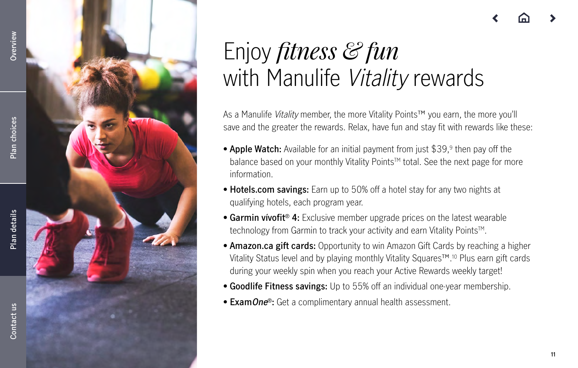



## Enjoy *fitness & fun*  with Manulife Vitality rewards

As a Manulife *Vitality* member, the more Vitality Points™ you earn, the more you'll save and the greater the rewards. Relax, have fun and stay fit with rewards like these:

- **• Apple Watch:** Available for an initial payment from just \$39,9 then pay off the balance based on your monthly Vitality Points™ total. See the next page for more information.
- **• Hotels.com savings:** Earn up to 50% off a hotel stay for any two nights at qualifying hotels, each program year.
- **Garmin vivofit<sup>®</sup> 4:** Exclusive member upgrade prices on the latest wearable technology from Garmin to track your activity and earn Vitality Points™.
- **• Amazon.ca gift cards:** Opportunity to win Amazon Gift Cards by reaching a higher Vitality Status level and by playing monthly Vitality Squares™.10 Plus earn gift cards during your weekly spin when you reach your Active Rewards weekly target!
- **• Goodlife Fitness savings:** Up to 55% off an individual one-year membership.
- **• ExamOne**®**:** Get a complimentary annual health assessment.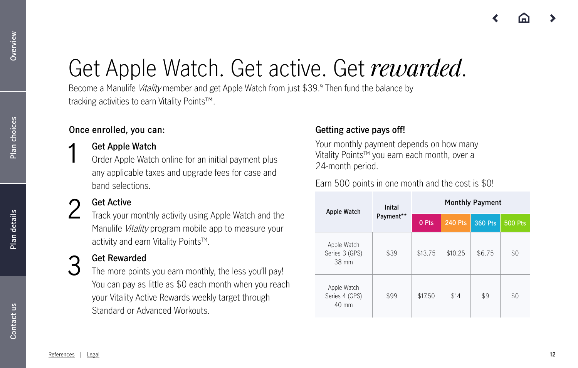# Get Apple Watch. Get active. Get *rewarded*.

Become a Manulife *Vitality* member and get Apple Watch from just \$39.9 Then fund the balance by tracking activities to earn Vitality Points™.

### **Once enrolled, you can:**

## **Get Apple Watch** 1

Order Apple Watch online for an initial payment plus any applicable taxes and upgrade fees for case and band selections.

### **Get Active**

Track your monthly activity using Apple Watch and the Manulife *Vitality* program mobile app to measure your activity and earn Vitality Points™. 2

## **Get Rewarded** 3

The more points you earn monthly, the less you'll pay! You can pay as little as \$0 each month when you reach your Vitality Active Rewards weekly target through Standard or Advanced Workouts.

### **Getting active pays off!**

Your monthly payment depends on how many Vitality Points™ you earn each month, over a 24-month period.

Earn 500 points in one month and the cost is \$0!

| Apple Watch                                      | Inital    | <b>Monthly Payment</b> |                |         |                |  |  |
|--------------------------------------------------|-----------|------------------------|----------------|---------|----------------|--|--|
|                                                  | Payment** | 0 Pts                  | <b>240 Pts</b> | 360 Pts | <b>500 Pts</b> |  |  |
| Apple Watch<br>Series 3 (GPS)<br>38 mm           | \$39      | \$13.75                | \$10.25        | \$6.75  | \$0            |  |  |
| Apple Watch<br>Series 4 (GPS)<br>$40 \text{ mm}$ | \$99      | \$17.50                | \$14           | \$9     | \$0            |  |  |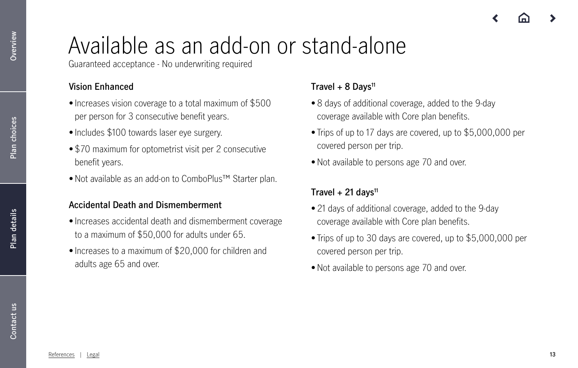# Available as an add-on or stand-alone

Guaranteed acceptance - No underwriting required

## **Vision Enhanced**

- Increases vision coverage to a total maximum of \$500 per person for 3 consecutive benefit years.
- Includes \$100 towards laser eye surgery.
- \$70 maximum for optometrist visit per 2 consecutive benefit years.
- Not available as an add-on to ComboPlus™ Starter plan.

## **Accidental Death and Dismemberment**

- Increases accidental death and dismemberment coverage to a maximum of \$50,000 for adults under 65.
- Increases to a maximum of \$20,000 for children and adults age 65 and over.

## **Travel + 8 Days11**

- 8 days of additional coverage, added to the 9-day coverage available with Core plan benefits.
- Trips of up to 17 days are covered, up to \$5,000,000 per covered person per trip.
- Not available to persons age 70 and over.

## **Travel + 21 days11**

- 21 days of additional coverage, added to the 9-day coverage available with Core plan benefits.
- Trips of up to 30 days are covered, up to \$5,000,000 per covered person per trip.
- Not available to persons age 70 and over.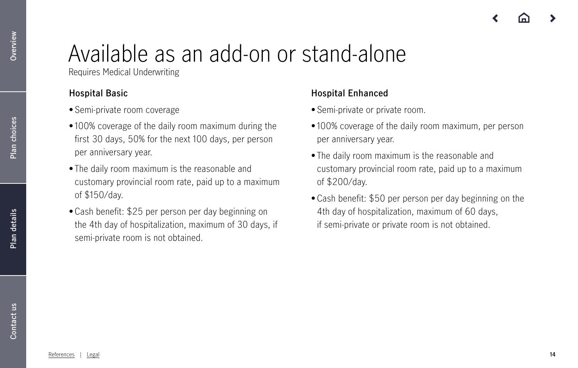# Available as an add-on or stand-alone

Requires Medical Underwriting

## **Hospital Basic**

- Semi-private room coverage
- 100% coverage of the daily room maximum during the first 30 days, 50% for the next 100 days, per person per anniversary year.
- The daily room maximum is the reasonable and customary provincial room rate, paid up to a maximum of \$150/day.
- Cash benefit: \$25 per person per day beginning on the 4th day of hospitalization, maximum of 30 days, if semi-private room is not obtained.

## **Hospital Enhanced**

- Semi-private or private room.
- 100% coverage of the daily room maximum, per person per anniversary year.
- The daily room maximum is the reasonable and customary provincial room rate, paid up to a maximum of \$200/day.
- Cash benefit: \$50 per person per day beginning on the 4th day of hospitalization, maximum of 60 days, if semi-private or private room is not obtained.

Overview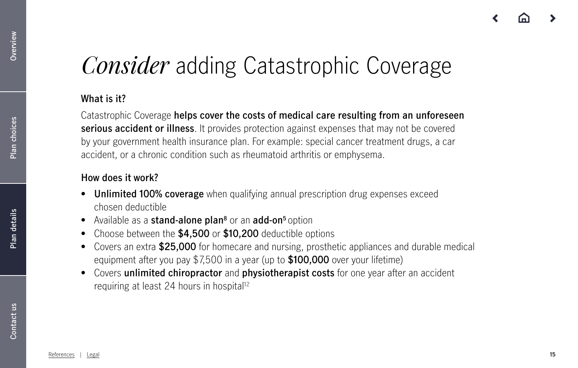# *Consider* adding Catastrophic Coverage

## **What is it?**

Catastrophic Coverage **helps cover the costs of medical care resulting from an unforeseen serious accident or illness**. It provides protection against expenses that may not be covered by your government health insurance plan. For example: special cancer treatment drugs, a car accident, or a chronic condition such as rheumatoid arthritis or emphysema.

## **How does it work?**

- **• Unlimited 100% coverage** when qualifying annual prescription drug expenses exceed chosen deductible
- **•** Available as a **stand-alone plan8** or an **add-on5** option
- **•** Choose between the **\$4,500** or **\$10,200** deductible options
- **•** Covers an extra **\$25,000** for homecare and nursing, prosthetic appliances and durable medical equipment after you pay \$7,500 in a year (up to **\$100,000** over your lifetime)
- **•** Covers **unlimited chiropractor** and **physiotherapist costs** for one year after an accident requiring at least 24 hours in hospital<sup>12</sup>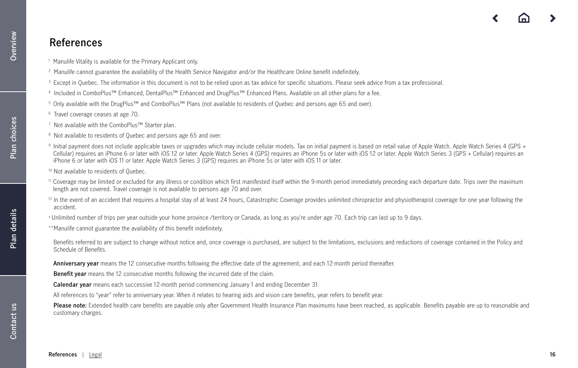**[Plan choices](#page-8-0)**

Plan choices

## <span id="page-15-0"></span>**References**

- 1 Manulife Vitality is available for the Primary Applicant only.
- <sup>2</sup> Manulife cannot guarantee the availability of the Health Service Navigator and/or the Healthcare Online benefit indefinitely.
- <sup>3</sup> Except in Quebec. The information in this document is not to be relied upon as tax advice for specific situations. Please seek advice from a tax professional.
- 4 Included in ComboPlus™ Enhanced, DentalPlus™ Enhanced and DrugPlus™ Enhanced Plans. Available on all other plans for a fee.
- 5 Only available with the DrugPlus™ and ComboPlus™ Plans (not available to residents of Quebec and persons age 65 and over).
- 6 Travel coverage ceases at age 70.
- 7 Not available with the ComboPlus™ Starter plan.
- <sup>8</sup> Not available to residents of Quebec and persons age 65 and over.
- 9 Initial payment does not include applicable taxes or upgrades which may include cellular models. Tax on initial payment is based on retail value of Apple Watch. Apple Watch Series 4 (GPS + Cellular) requires an iPhone 6 or later with iOS 12 or later. Apple Watch Series 4 (GPS) requires an iPhone 5s or later with iOS 12 or later. Apple Watch Series 3 (GPS + Cellular) requires an iPhone 6 or later with iOS 11 or later. Apple Watch Series 3 (GPS) requires an iPhone 5s or later with iOS 11 or later.
- 10 Not available to residents of Quebec.
- 11 Coverage may be limited or excluded for any illness or condition which first manifested itself within the 9-month period immediately preceding each departure date. Trips over the maximum length are not covered. Travel coverage is not available to persons age 70 and over.
- <sup>12</sup> In the event of an accident that requires a hospital stay of at least 24 hours, Catastrophic Coverage provides unlimited chiropractor and physiotherapist coverage for one year following the accident.
- ± Unlimited number of trips per year outside your home province /territory or Canada, as long as you're under age 70. Each trip can last up to 9 days.
- \*\*Manulife cannot guarantee the availability of this benefit indefinitely.
- Benefits referred to are subject to change without notice and, once coverage is purchased, are subject to the limitations, exclusions and reductions of coverage contained in the Policv and Schedule of Benefits.
- **Anniversary year** means the 12 consecutive months following the effective date of the agreement, and each 12-month period thereafter.
- **Benefit year** means the 12 consecutive months following the incurred date of the claim.
- **Calendar year** means each successive 12-month period commencing January 1 and ending December 31.
- All references to "year" refer to anniversary year. When it relates to hearing aids and vision care benefits, year refers to benefit year.
- Please note: Extended health care benefits are payable only after Government Health Insurance Plan maximums have been reached, as applicable. Benefits payable are up to reasonable and customary charges.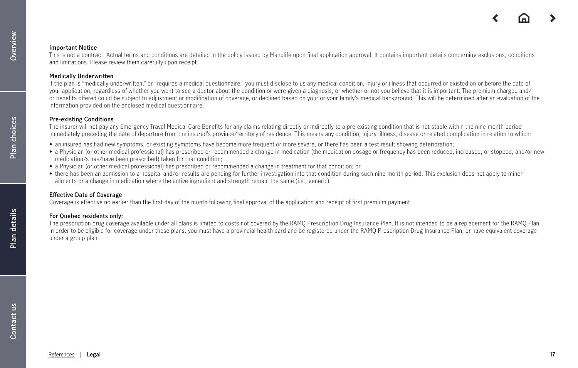### <span id="page-16-0"></span>**Important Notice**

This is not a contract. Actual terms and conditions are detailed in the policy issued by Manulife upon final application approval. It contains important details concerning exclusions, conditions and limitations. Please review them carefully upon receipt.

### **Medically Underwritten**

If the plan is "medically underwritten," or "requires a medical questionnaire," you must disclose to us any medical condition, injury or illness that occurred or existed on or before the date of your application, regardless of whether you went to see a doctor about the condition or were given a diagnosis, or whether or not you believe that it is important. The premium charged and/ or benefits offered could be subject to adjustment or modification of coverage, or declined based on your or your family's medical background. This will be determined after an evaluation of the information provided on the enclosed medical questionnaire.

### **Pre-existing Conditions**

The insurer will not pay any Emergency Travel Medical Care Benefits for any claims relating directly or indirectly to a pre-existing condition that is not stable within the nine-month period immediately preceding the date of departure from the insured's province/territory of residence. This means any condition, injury, illness, disease or related complication in relation to which:

- an insured has had new symptoms, or existing symptoms have become more frequent or more severe, or there has been a test result showing deterioration;
- a Physician (or other medical professional) has prescribed or recommended a change in medication (the medication dosage or frequency has been reduced, increased, or stopped, and/or new medication/s has/have been prescribed) taken for that condition;
- a Physician (or other medical professional) has prescribed or recommended a change in treatment for that condition; or
- there has been an admission to a hospital and/or results are pending for further investigation into that condition during such nine-month period. This exclusion does not apply to minor ailments or a change in medication where the active ingredient and strength remain the same (i.e., generic).

### **Effective Date of Coverage**

Coverage is effective no earlier than the first day of the month following final approval of the application and receipt of first premium payment.

### **For Quebec residents only:**

The prescription drug coverage available under all plans is limited to costs not covered by the RAMQ Prescription Drug Insurance Plan. It is not intended to be a replacement for the RAMQ Plan. In order to be eligible for coverage under these plans, you must have a provincial health card and be registered under the RAMQ Prescription Drug Insurance Plan, or have equivalent coverage under a group plan.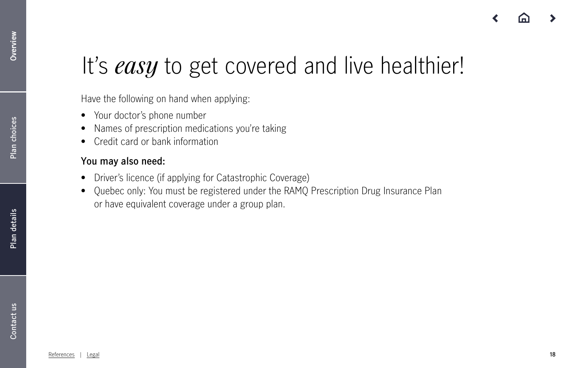# It's *easy* to get covered and live healthier!

Have the following on hand when applying:

- **•** Your doctor's phone number
- **•** Names of prescription medications you're taking
- **•** Credit card or bank information

## **You may also need:**

- **•** Driver's licence (if applying for Catastrophic Coverage)
- **•** Quebec only: You must be registered under the RAMQ Prescription Drug Insurance Plan or have equivalent coverage under a group plan.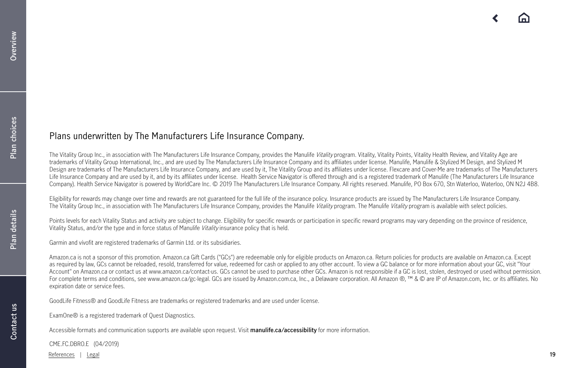### Plans underwritten by The Manufacturers Life Insurance Company.

The Vitality Group Inc., in association with The Manufacturers Life Insurance Company, provides the Manulife *Vitality* program. Vitality, Vitality Points, Vitality Health Review, and Vitality Age are trademarks of Vitality Group International, Inc., and are used by The Manufacturers Life Insurance Company and its affiliates under license. Manulife, Manulife & Stylized M Design, and Stylized M Design are trademarks of The Manufacturers Life Insurance Company, and are used by it, The Vitality Group and its affiliates under license. Flexcare and Cover-Me are trademarks of The Manufacturers Life Insurance Company and are used by it, and by its affiliates under license. Health Service Navigator is offered through and is a registered trademark of Manulife (The Manufacturers Life Insurance Company). Health Service Navigator is powered by WorldCare Inc. © 2019 The Manufacturers Life Insurance Company. All rights reserved. Manulife, PO Box 670, Stn Waterloo, Waterloo, ON N2J 4B8.

Eligibility for rewards may change over time and rewards are not guaranteed for the full life of the insurance policy. Insurance products are issued by The Manufacturers Life Insurance Company. The Vitality Group Inc., in association with The Manufacturers Life Insurance Company, provides the Manulife Vitality program. The Manulife Vitality program is available with select policies.

Points levels for each Vitality Status and activity are subject to change. Eligibility for specific rewards or participation in specific reward programs may vary depending on the province of residence, Vitality Status, and/or the type and in force status of Manulife Vitality insurance policy that is held.

Garmin and vívofit are registered trademarks of Garmin Ltd. or its subsidiaries.

Amazon.ca is not a sponsor of this promotion. Amazon.ca Gift Cards ("GCs") are redeemable only for eligible products on Amazon.ca. Return policies for products are available on Amazon.ca. Except as required by law, GCs cannot be reloaded, resold, transferred for value, redeemed for cash or applied to any other account. To view a GC balance or for more information about your GC, visit "Your Account" on Amazon.ca or contact us at www.amazon.ca/contact-us. GCs cannot be used to purchase other GCs. Amazon is not responsible if a GC is lost, stolen, destroyed or used without permission. For complete terms and conditions, see www.amazon.ca/gc-legal. GCs are issued by Amazon.com.ca, Inc., a Delaware corporation. All Amazon ®, ™ & © are IP of Amazon.com, Inc. or its affiliates. No expiration date or service fees.

GoodLife Fitness® and GoodLife Fitness are trademarks or registered trademarks and are used under license.

ExamOne® is a registered trademark of Quest Diagnostics.

Accessible formats and communication supports are available upon request. Visit **manulife.ca/accessibility** for more information.

CME.FC.DBRO.E (04/2019)

[References](#page-15-0) | [Legal](#page-16-0) **19**